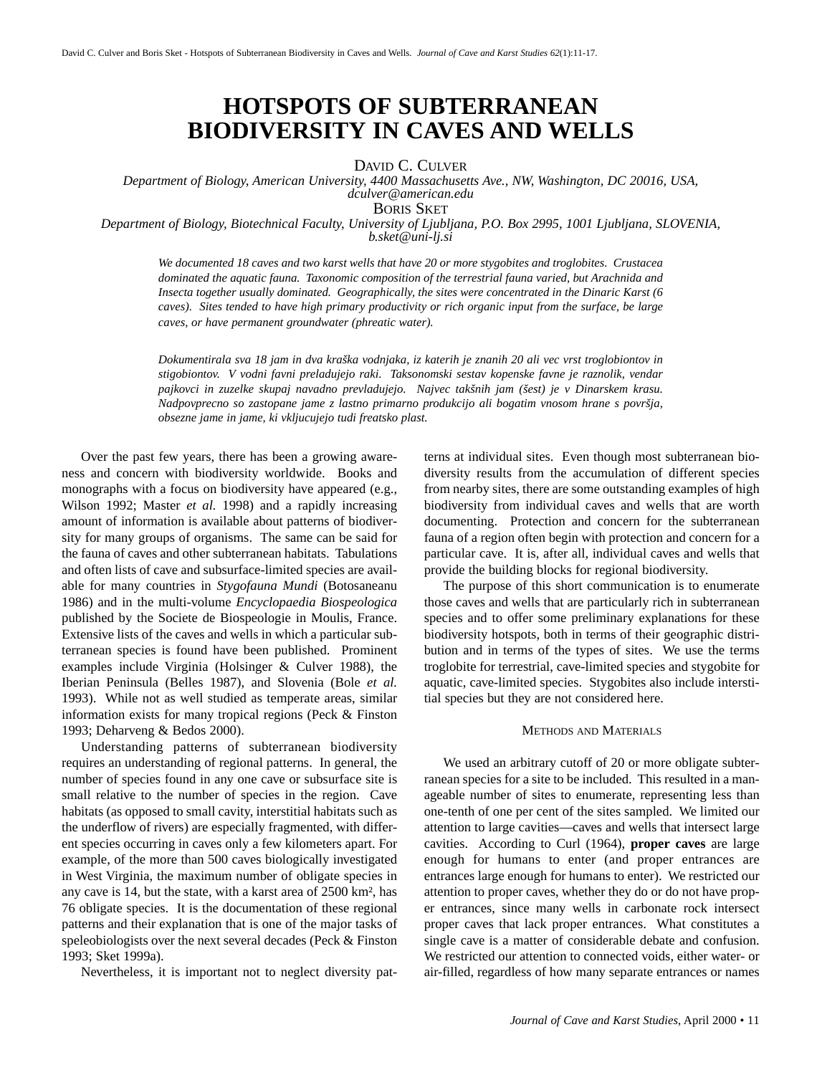# **HOTSPOTS OF SUBTERRANEAN BIODIVERSITY IN CAVES AND WELLS**

DAVID C. CULVER

*Department of Biology, American University, 4400 Massachusetts Ave., NW, Washington, DC 20016, USA, dculver@american.edu*

BORIS SKET

*Department of Biology, Biotechnical Faculty, University of Ljubljana, P.O. Box 2995, 1001 Ljubljana, SLOVENIA, b.sket@uni-lj.si*

*We documented 18 caves and two karst wells that have 20 or more stygobites and troglobites. Crustacea dominated the aquatic fauna. Taxonomic composition of the terrestrial fauna varied, but Arachnida and Insecta together usually dominated. Geographically, the sites were concentrated in the Dinaric Karst (6 caves). Sites tended to have high primary productivity or rich organic input from the surface, be large caves, or have permanent groundwater (phreatic water).*

*Dokumentirala sva 18 jam in dva kraška vodnjaka, iz katerih je znanih 20 ali vec vrst troglobiontov in stigobiontov. V vodni favni preladujejo raki. Taksonomski sestav kopenske favne je raznolik, vendar pajkovci in zuzelke skupaj navadno prevladujejo. Najvec takšnih jam (šest) je v Dinarskem krasu. Nadpovprecno so zastopane jame z lastno primarno produkcijo ali bogatim vnosom hrane s površja, obsezne jame in jame, ki vkljucujejo tudi freatsko plast.*

Over the past few years, there has been a growing awareness and concern with biodiversity worldwide. Books and monographs with a focus on biodiversity have appeared (e.g., Wilson 1992; Master *et al.* 1998) and a rapidly increasing amount of information is available about patterns of biodiversity for many groups of organisms. The same can be said for the fauna of caves and other subterranean habitats. Tabulations and often lists of cave and subsurface-limited species are available for many countries in *Stygofauna Mundi* (Botosaneanu 1986) and in the multi-volume *Encyclopaedia Biospeologica* published by the Societe de Biospeologie in Moulis, France. Extensive lists of the caves and wells in which a particular subterranean species is found have been published. Prominent examples include Virginia (Holsinger & Culver 1988), the Iberian Peninsula (Belles 1987), and Slovenia (Bole *et al.* 1993). While not as well studied as temperate areas, similar information exists for many tropical regions (Peck & Finston 1993; Deharveng & Bedos 2000).

Understanding patterns of subterranean biodiversity requires an understanding of regional patterns. In general, the number of species found in any one cave or subsurface site is small relative to the number of species in the region. Cave habitats (as opposed to small cavity, interstitial habitats such as the underflow of rivers) are especially fragmented, with different species occurring in caves only a few kilometers apart. For example, of the more than 500 caves biologically investigated in West Virginia, the maximum number of obligate species in any cave is 14, but the state, with a karst area of 2500 km², has 76 obligate species. It is the documentation of these regional patterns and their explanation that is one of the major tasks of speleobiologists over the next several decades (Peck & Finston 1993; Sket 1999a).

Nevertheless, it is important not to neglect diversity pat-

terns at individual sites. Even though most subterranean biodiversity results from the accumulation of different species from nearby sites, there are some outstanding examples of high biodiversity from individual caves and wells that are worth documenting. Protection and concern for the subterranean fauna of a region often begin with protection and concern for a particular cave. It is, after all, individual caves and wells that provide the building blocks for regional biodiversity.

The purpose of this short communication is to enumerate those caves and wells that are particularly rich in subterranean species and to offer some preliminary explanations for these biodiversity hotspots, both in terms of their geographic distribution and in terms of the types of sites. We use the terms troglobite for terrestrial, cave-limited species and stygobite for aquatic, cave-limited species. Stygobites also include interstitial species but they are not considered here.

# METHODS AND MATERIALS

We used an arbitrary cutoff of 20 or more obligate subterranean species for a site to be included. This resulted in a manageable number of sites to enumerate, representing less than one-tenth of one per cent of the sites sampled. We limited our attention to large cavities—caves and wells that intersect large cavities. According to Curl (1964), **proper caves** are large enough for humans to enter (and proper entrances are entrances large enough for humans to enter). We restricted our attention to proper caves, whether they do or do not have proper entrances, since many wells in carbonate rock intersect proper caves that lack proper entrances. What constitutes a single cave is a matter of considerable debate and confusion. We restricted our attention to connected voids, either water- or air-filled, regardless of how many separate entrances or names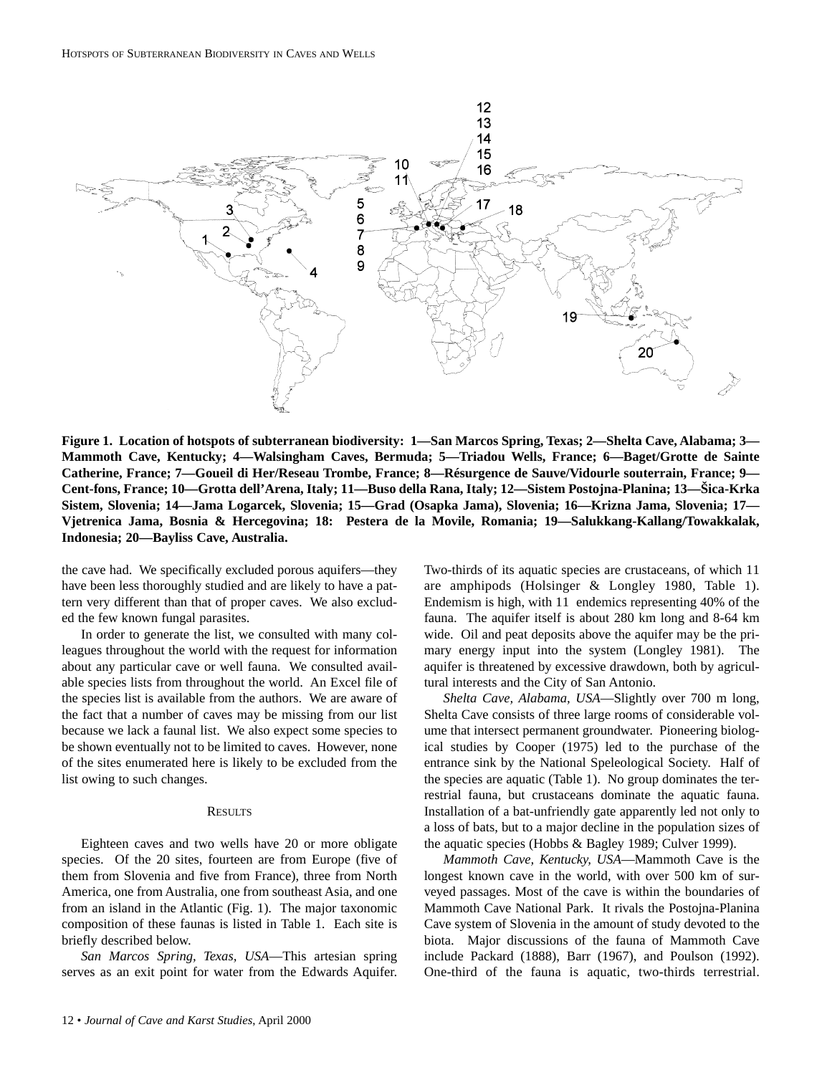

**Figure 1. Location of hotspots of subterranean biodiversity: 1—San Marcos Spring, Texas; 2—Shelta Cave, Alabama; 3— Mammoth Cave, Kentucky; 4—Walsingham Caves, Bermuda; 5—Triadou Wells, France; 6—Baget/Grotte de Sainte Catherine, France; 7—Goueil di Her/Reseau Trombe, France; 8—Résurgence de Sauve/Vidourle souterrain, France; 9— Cent-fons, France; 10—Grotta dell'Arena, Italy; 11—Buso della Rana, Italy; 12—Sistem Postojna-Planina; 13—Šica-Krka Sistem, Slovenia; 14—Jama Logarcek, Slovenia; 15—Grad (Osapka Jama), Slovenia; 16—Krizna Jama, Slovenia; 17— Vjetrenica Jama, Bosnia & Hercegovina; 18: Pestera de la Movile, Romania; 19—Salukkang-Kallang/Towakkalak, Indonesia; 20—Bayliss Cave, Australia.**

the cave had. We specifically excluded porous aquifers—they have been less thoroughly studied and are likely to have a pattern very different than that of proper caves. We also excluded the few known fungal parasites.

In order to generate the list, we consulted with many colleagues throughout the world with the request for information about any particular cave or well fauna. We consulted available species lists from throughout the world. An Excel file of the species list is available from the authors. We are aware of the fact that a number of caves may be missing from our list because we lack a faunal list. We also expect some species to be shown eventually not to be limited to caves. However, none of the sites enumerated here is likely to be excluded from the list owing to such changes.

### **RESULTS**

Eighteen caves and two wells have 20 or more obligate species. Of the 20 sites, fourteen are from Europe (five of them from Slovenia and five from France), three from North America, one from Australia, one from southeast Asia, and one from an island in the Atlantic (Fig. 1). The major taxonomic composition of these faunas is listed in Table 1. Each site is briefly described below.

*San Marcos Spring, Texas, USA*—This artesian spring serves as an exit point for water from the Edwards Aquifer. Two-thirds of its aquatic species are crustaceans, of which 11 are amphipods (Holsinger & Longley 1980, Table 1). Endemism is high, with 11 endemics representing 40% of the fauna. The aquifer itself is about 280 km long and 8-64 km wide. Oil and peat deposits above the aquifer may be the primary energy input into the system (Longley 1981). The aquifer is threatened by excessive drawdown, both by agricultural interests and the City of San Antonio.

*Shelta Cave, Alabama, USA*—Slightly over 700 m long, Shelta Cave consists of three large rooms of considerable volume that intersect permanent groundwater. Pioneering biological studies by Cooper (1975) led to the purchase of the entrance sink by the National Speleological Society. Half of the species are aquatic (Table 1). No group dominates the terrestrial fauna, but crustaceans dominate the aquatic fauna. Installation of a bat-unfriendly gate apparently led not only to a loss of bats, but to a major decline in the population sizes of the aquatic species (Hobbs & Bagley 1989; Culver 1999).

*Mammoth Cave, Kentucky, USA*—Mammoth Cave is the longest known cave in the world, with over 500 km of surveyed passages. Most of the cave is within the boundaries of Mammoth Cave National Park. It rivals the Postojna-Planina Cave system of Slovenia in the amount of study devoted to the biota. Major discussions of the fauna of Mammoth Cave include Packard (1888), Barr (1967), and Poulson (1992). One-third of the fauna is aquatic, two-thirds terrestrial.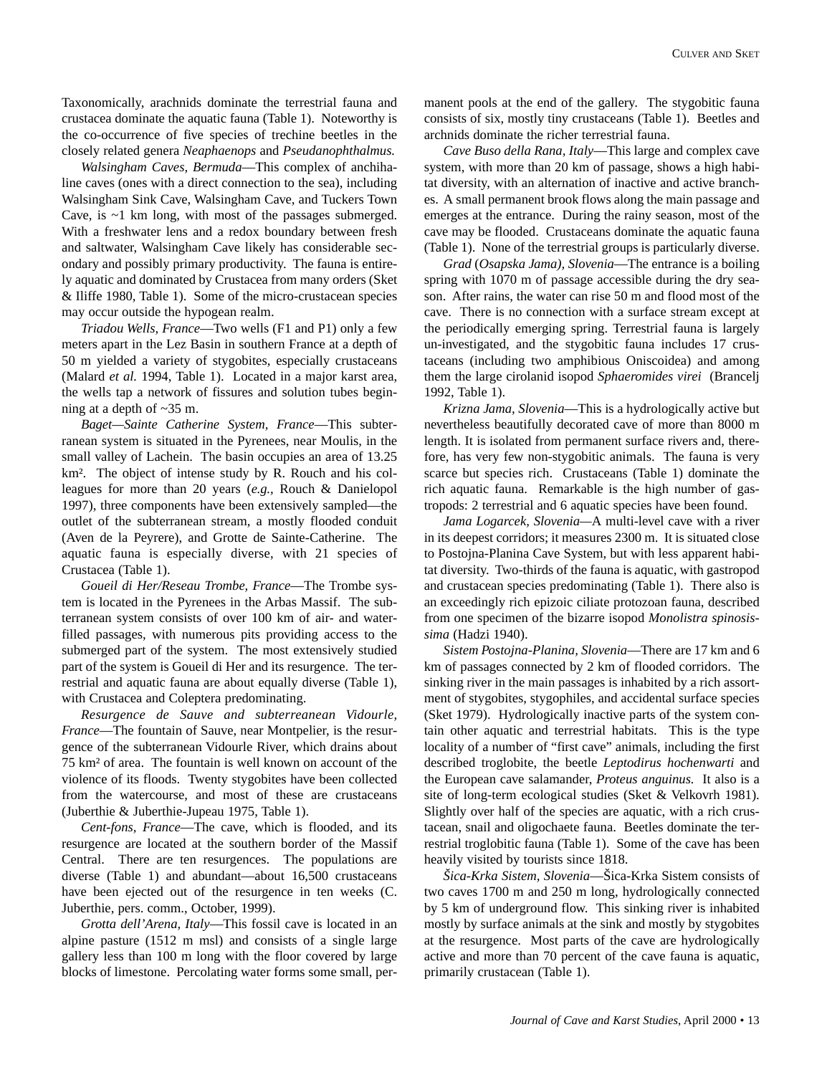Taxonomically, arachnids dominate the terrestrial fauna and crustacea dominate the aquatic fauna (Table 1). Noteworthy is the co-occurrence of five species of trechine beetles in the closely related genera *Neaphaenops* and *Pseudanophthalmus.* 

*Walsingham Caves, Bermuda*—This complex of anchihaline caves (ones with a direct connection to the sea), including Walsingham Sink Cave, Walsingham Cave, and Tuckers Town Cave, is ~1 km long, with most of the passages submerged. With a freshwater lens and a redox boundary between fresh and saltwater, Walsingham Cave likely has considerable secondary and possibly primary productivity. The fauna is entirely aquatic and dominated by Crustacea from many orders (Sket & Iliffe 1980, Table 1). Some of the micro-crustacean species may occur outside the hypogean realm.

*Triadou Wells, France*—Two wells (F1 and P1) only a few meters apart in the Lez Basin in southern France at a depth of 50 m yielded a variety of stygobites, especially crustaceans (Malard *et al.* 1994, Table 1). Located in a major karst area, the wells tap a network of fissures and solution tubes beginning at a depth of ~35 m.

*Baget—Sainte Catherine System, France*—This subterranean system is situated in the Pyrenees, near Moulis, in the small valley of Lachein. The basin occupies an area of 13.25 km². The object of intense study by R. Rouch and his colleagues for more than 20 years (*e.g.,* Rouch & Danielopol 1997), three components have been extensively sampled—the outlet of the subterranean stream, a mostly flooded conduit (Aven de la Peyrere), and Grotte de Sainte-Catherine. The aquatic fauna is especially diverse, with 21 species of Crustacea (Table 1).

*Goueil di Her/Reseau Trombe, France*—The Trombe system is located in the Pyrenees in the Arbas Massif. The subterranean system consists of over 100 km of air- and waterfilled passages, with numerous pits providing access to the submerged part of the system. The most extensively studied part of the system is Goueil di Her and its resurgence. The terrestrial and aquatic fauna are about equally diverse (Table 1), with Crustacea and Coleptera predominating.

*Resurgence de Sauve and subterreanean Vidourle, France*—The fountain of Sauve, near Montpelier, is the resurgence of the subterranean Vidourle River, which drains about 75 km² of area. The fountain is well known on account of the violence of its floods. Twenty stygobites have been collected from the watercourse, and most of these are crustaceans (Juberthie & Juberthie-Jupeau 1975, Table 1).

*Cent-fons, France*—The cave, which is flooded, and its resurgence are located at the southern border of the Massif Central. There are ten resurgences. The populations are diverse (Table 1) and abundant—about 16,500 crustaceans have been ejected out of the resurgence in ten weeks (C. Juberthie, pers. comm., October, 1999).

*Grotta dell'Arena, Italy*—This fossil cave is located in an alpine pasture (1512 m msl) and consists of a single large gallery less than 100 m long with the floor covered by large blocks of limestone. Percolating water forms some small, permanent pools at the end of the gallery. The stygobitic fauna consists of six, mostly tiny crustaceans (Table 1). Beetles and archnids dominate the richer terrestrial fauna.

*Cave Buso della Rana, Italy*—This large and complex cave system, with more than 20 km of passage, shows a high habitat diversity, with an alternation of inactive and active branches. A small permanent brook flows along the main passage and emerges at the entrance. During the rainy season, most of the cave may be flooded. Crustaceans dominate the aquatic fauna (Table 1). None of the terrestrial groups is particularly diverse.

*Grad* (*Osapska Jama), Slovenia*—The entrance is a boiling spring with 1070 m of passage accessible during the dry season. After rains, the water can rise 50 m and flood most of the cave. There is no connection with a surface stream except at the periodically emerging spring. Terrestrial fauna is largely un-investigated, and the stygobitic fauna includes 17 crustaceans (including two amphibious Oniscoidea) and among them the large cirolanid isopod *Sphaeromides virei* (Brancelj 1992, Table 1).

*Krizna Jama, Slovenia*—This is a hydrologically active but nevertheless beautifully decorated cave of more than 8000 m length. It is isolated from permanent surface rivers and, therefore, has very few non-stygobitic animals. The fauna is very scarce but species rich. Crustaceans (Table 1) dominate the rich aquatic fauna. Remarkable is the high number of gastropods: 2 terrestrial and 6 aquatic species have been found.

*Jama Logarcek, Slovenia—*A multi-level cave with a river in its deepest corridors; it measures 2300 m. It is situated close to Postojna-Planina Cave System, but with less apparent habitat diversity. Two-thirds of the fauna is aquatic, with gastropod and crustacean species predominating (Table 1). There also is an exceedingly rich epizoic ciliate protozoan fauna, described from one specimen of the bizarre isopod *Monolistra spinosissima* (Hadzi 1940).

*Sistem Postojna-Planina, Slovenia*—There are 17 km and 6 km of passages connected by 2 km of flooded corridors. The sinking river in the main passages is inhabited by a rich assortment of stygobites, stygophiles, and accidental surface species (Sket 1979). Hydrologically inactive parts of the system contain other aquatic and terrestrial habitats. This is the type locality of a number of "first cave" animals, including the first described troglobite, the beetle *Leptodirus hochenwarti* and the European cave salamander, *Proteus anguinus.* It also is a site of long-term ecological studies (Sket & Velkovrh 1981). Slightly over half of the species are aquatic, with a rich crustacean, snail and oligochaete fauna. Beetles dominate the terrestrial troglobitic fauna (Table 1). Some of the cave has been heavily visited by tourists since 1818.

*Šica-Krka Sistem, Slovenia*—Šica-Krka Sistem consists of two caves 1700 m and 250 m long, hydrologically connected by 5 km of underground flow. This sinking river is inhabited mostly by surface animals at the sink and mostly by stygobites at the resurgence. Most parts of the cave are hydrologically active and more than 70 percent of the cave fauna is aquatic, primarily crustacean (Table 1).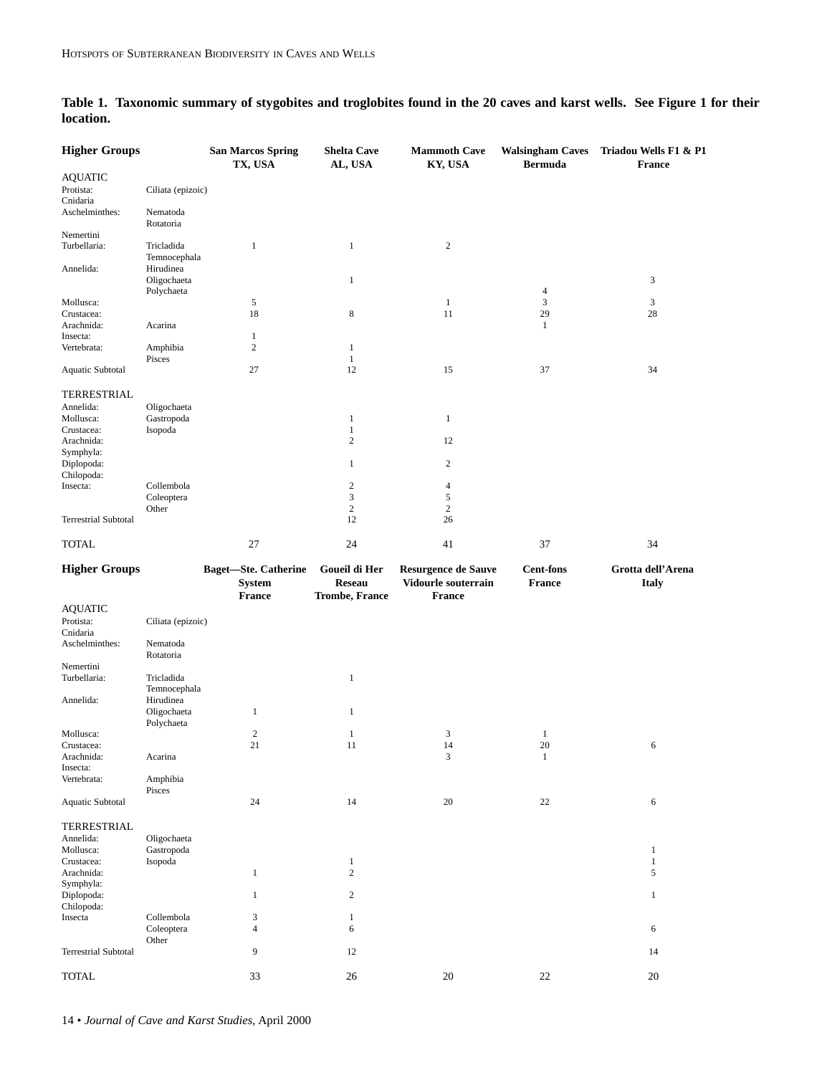| <b>Higher Groups</b>        |                            | <b>San Marcos Spring</b><br>TX, USA                           | <b>Shelta Cave</b><br>AL, USA                           | <b>Mammoth Cave</b><br>KY, USA                                     | <b>Walsingham Caves</b><br><b>Bermuda</b> | Triadou Wells F1 & P1<br><b>France</b> |
|-----------------------------|----------------------------|---------------------------------------------------------------|---------------------------------------------------------|--------------------------------------------------------------------|-------------------------------------------|----------------------------------------|
| <b>AQUATIC</b>              |                            |                                                               |                                                         |                                                                    |                                           |                                        |
| Protista:                   | Ciliata (epizoic)          |                                                               |                                                         |                                                                    |                                           |                                        |
| Cnidaria<br>Aschelminthes:  | Nematoda<br>Rotatoria      |                                                               |                                                         |                                                                    |                                           |                                        |
| Nemertini                   |                            |                                                               |                                                         |                                                                    |                                           |                                        |
| Turbellaria:                | Tricladida<br>Temnocephala | $\mathbf{1}$                                                  | $\mathbf{1}$                                            | $\mathbf{2}$                                                       |                                           |                                        |
| Annelida:                   | Hirudinea                  |                                                               |                                                         |                                                                    |                                           |                                        |
|                             | Oligochaeta<br>Polychaeta  |                                                               | $\mathbf{1}$                                            |                                                                    | 4                                         | 3                                      |
| Mollusca:                   |                            | 5                                                             |                                                         | $\mathbf{1}$                                                       | 3                                         | 3                                      |
| Crustacea:                  |                            | 18                                                            | 8                                                       | 11                                                                 | 29                                        | 28                                     |
| Arachnida:                  | Acarina                    |                                                               |                                                         |                                                                    | $\mathbf{1}$                              |                                        |
| Insecta:                    |                            | $\mathbf{1}$                                                  |                                                         |                                                                    |                                           |                                        |
| Vertebrata:                 | Amphibia<br>Pisces         | $\overline{c}$                                                | $\mathbf{1}$<br>$\mathbf{1}$                            |                                                                    |                                           |                                        |
| Aquatic Subtotal            |                            | 27                                                            | 12                                                      | 15                                                                 | 37                                        | 34                                     |
| TERRESTRIAL                 |                            |                                                               |                                                         |                                                                    |                                           |                                        |
| Annelida:                   | Oligochaeta                |                                                               |                                                         |                                                                    |                                           |                                        |
| Mollusca:                   | Gastropoda                 |                                                               | $\mathbf{1}$                                            | $\mathbf{1}$                                                       |                                           |                                        |
| Crustacea:                  | $\mbox{\sf Isopoda}$       |                                                               | $\mathbf{1}$                                            |                                                                    |                                           |                                        |
| Arachnida:                  |                            |                                                               | $\overline{c}$                                          | 12                                                                 |                                           |                                        |
| Symphyla:                   |                            |                                                               |                                                         |                                                                    |                                           |                                        |
| Diplopoda:                  |                            |                                                               | $\mathbf{1}$                                            | $\overline{c}$                                                     |                                           |                                        |
| Chilopoda:                  |                            |                                                               |                                                         |                                                                    |                                           |                                        |
| Insecta:                    | Collembola                 |                                                               | $\overline{c}$                                          | $\overline{4}$                                                     |                                           |                                        |
|                             | Coleoptera                 |                                                               | 3                                                       | 5                                                                  |                                           |                                        |
|                             | Other                      |                                                               | $\mathbf{2}$                                            | $\mathbf{2}$                                                       |                                           |                                        |
| <b>Terrestrial Subtotal</b> |                            |                                                               | 12                                                      | 26                                                                 |                                           |                                        |
| <b>TOTAL</b>                |                            | 27                                                            | 24                                                      | 41                                                                 | 37                                        | 34                                     |
| <b>Higher Groups</b>        |                            | <b>Baget-Ste. Catherine</b><br><b>System</b><br><b>France</b> | Goueil di Her<br><b>Reseau</b><br><b>Trombe, France</b> | <b>Resurgence de Sauve</b><br>Vidourle souterrain<br><b>France</b> | <b>Cent-fons</b><br><b>France</b>         | Grotta dell'Arena<br><b>Italy</b>      |
| <b>AQUATIC</b>              |                            |                                                               |                                                         |                                                                    |                                           |                                        |
| Protista:<br>Cnidaria       | Ciliata (epizoic)          |                                                               |                                                         |                                                                    |                                           |                                        |
| Aschelminthes:              | Nematoda<br>Rotatoria      |                                                               |                                                         |                                                                    |                                           |                                        |
| Nemertini                   |                            |                                                               |                                                         |                                                                    |                                           |                                        |
| Turbellaria:                | Tricladida<br>Temnocephala |                                                               | 1                                                       |                                                                    |                                           |                                        |
| Annelida:                   | Hirudinea                  |                                                               |                                                         |                                                                    |                                           |                                        |
|                             | Oligochaeta<br>Polychaeta  | $\mathbf{1}$                                                  | $\mathbf{1}$                                            |                                                                    |                                           |                                        |
| Mollusca:                   |                            | $\mathbf{2}$                                                  | $\mathbf{1}$                                            | 3                                                                  | 1                                         |                                        |
| Crustacea:                  |                            | 21                                                            | 11                                                      | 14                                                                 | 20                                        | $\sqrt{6}$                             |
| Arachnida:<br>Insecta:      | Acarina                    |                                                               |                                                         | 3                                                                  | $\mathbf{1}$                              |                                        |
| Vertebrata:                 | Amphibia                   |                                                               |                                                         |                                                                    |                                           |                                        |

Aquatic Subtotal 24 14 20 22 6

Mollusca: Gastropoda 1 Crustacea: Isopoda 1 1 Arachnida: 1 2 5

Diplopoda: 1 2 1

Terrestrial Subtotal 14 14 12 **TOTAL** 20 22 20 20

Coleoptera 4 6 6

**Table 1. Taxonomic summary of stygobites and troglobites found in the 20 caves and karst wells. See Figure 1 for their location.**

Collembola 3 1<br>Coleoptera 4 6

Amphibia Pisces

**Other** 

TERRESTRIAL

Symphyla:<br>Diplopoda:

Chilopoda:

Annelida: Oligochaeta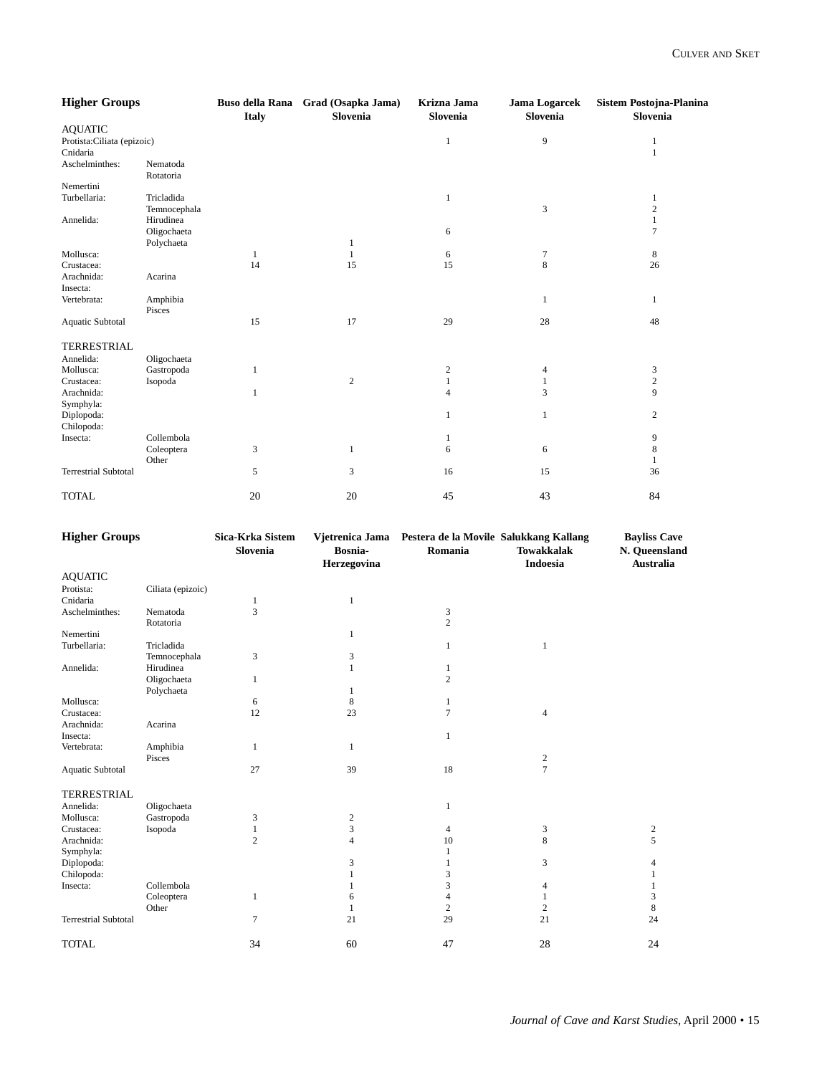| <b>Higher Groups</b>        |                            | <b>Buso della Rana</b><br><b>Italy</b> | Grad (Osapka Jama)<br>Slovenia | Krizna Jama<br>Slovenia | <b>Jama Logarcek</b><br>Slovenia | <b>Sistem Postojna-Planina</b><br>Slovenia |
|-----------------------------|----------------------------|----------------------------------------|--------------------------------|-------------------------|----------------------------------|--------------------------------------------|
| <b>AQUATIC</b>              |                            |                                        |                                |                         |                                  |                                            |
| Protista: Ciliata (epizoic) |                            |                                        |                                | 1                       | 9                                | 1                                          |
| Cnidaria                    |                            |                                        |                                |                         |                                  | 1                                          |
| Aschelminthes:              | Nematoda<br>Rotatoria      |                                        |                                |                         |                                  |                                            |
| Nemertini                   |                            |                                        |                                |                         |                                  |                                            |
| Turbellaria:                | Tricladida<br>Temnocephala |                                        |                                | 1                       | 3                                | 1<br>$\overline{\mathbf{c}}$               |
| Annelida:                   | Hirudinea                  |                                        |                                |                         |                                  | 1                                          |
|                             | Oligochaeta                |                                        |                                | 6                       |                                  | $\overline{7}$                             |
|                             | Polychaeta                 |                                        |                                |                         |                                  |                                            |
| Mollusca:                   |                            | 1                                      |                                | 6                       | 7                                | 8                                          |
| Crustacea:                  |                            | 14                                     | 15                             | 15                      | $\,8\,$                          | 26                                         |
| Arachnida:                  | Acarina                    |                                        |                                |                         |                                  |                                            |
| Insecta:                    |                            |                                        |                                |                         |                                  |                                            |
| Vertebrata:                 | Amphibia<br>Pisces         |                                        |                                |                         | 1                                | 1                                          |
| Aquatic Subtotal            |                            | 15                                     | 17                             | 29                      | 28                               | 48                                         |
| TERRESTRIAL                 |                            |                                        |                                |                         |                                  |                                            |
| Annelida:                   | Oligochaeta                |                                        |                                |                         |                                  |                                            |
| Mollusca:                   | Gastropoda                 | 1                                      |                                | $\overline{c}$          | 4                                | 3                                          |
| Crustacea:                  | Isopoda                    |                                        | $\mathfrak{2}$                 | 1                       | 1                                | $\sqrt{2}$                                 |
| Arachnida:                  |                            | 1                                      |                                | 4                       | 3                                | 9                                          |
| Symphyla:                   |                            |                                        |                                |                         |                                  |                                            |
| Diplopoda:                  |                            |                                        |                                | $\mathbf{1}$            | 1                                | $\overline{c}$                             |
| Chilopoda:                  |                            |                                        |                                |                         |                                  |                                            |
| Insecta:                    | Collembola                 |                                        |                                |                         |                                  | 9                                          |
|                             | Coleoptera                 | 3                                      | 1                              | 6                       | 6                                | $\,$ 8 $\,$                                |
|                             | Other                      |                                        |                                |                         |                                  | $\mathbf{1}$                               |
| <b>Terrestrial Subtotal</b> |                            | 5                                      | 3                              | 16                      | 15                               | 36                                         |
| <b>TOTAL</b>                |                            | 20                                     | 20                             | 45                      | 43                               | 84                                         |

| <b>Higher Groups</b>        |                   | Sica-Krka Sistem<br>Slovenia | Bosnia-<br>Herzegovina | Vjetrenica Jama Pestera de la Movile Salukkang Kallang<br>Romania | <b>Towakkalak</b><br><b>Indoesia</b> | <b>Bayliss Cave</b><br>N. Queensland<br><b>Australia</b> |
|-----------------------------|-------------------|------------------------------|------------------------|-------------------------------------------------------------------|--------------------------------------|----------------------------------------------------------|
| <b>AQUATIC</b>              |                   |                              |                        |                                                                   |                                      |                                                          |
| Protista:                   | Ciliata (epizoic) |                              |                        |                                                                   |                                      |                                                          |
| Cnidaria                    |                   | 1                            | 1                      |                                                                   |                                      |                                                          |
| Aschelminthes:              | Nematoda          | 3                            |                        | 3                                                                 |                                      |                                                          |
|                             | Rotatoria         |                              |                        | $\overline{c}$                                                    |                                      |                                                          |
| Nemertini                   |                   |                              | 1                      |                                                                   |                                      |                                                          |
| Turbellaria:                | Tricladida        |                              |                        | 1                                                                 | 1                                    |                                                          |
|                             | Temnocephala      | 3                            | 3                      |                                                                   |                                      |                                                          |
| Annelida:                   | Hirudinea         |                              | $\mathbf{1}$           | 1                                                                 |                                      |                                                          |
|                             | Oligochaeta       | 1                            |                        | $\overline{c}$                                                    |                                      |                                                          |
|                             | Polychaeta        |                              | 1                      |                                                                   |                                      |                                                          |
| Mollusca:                   |                   | 6                            | 8                      | 1                                                                 |                                      |                                                          |
| Crustacea:                  |                   | 12                           | 23                     | $\tau$                                                            | $\overline{4}$                       |                                                          |
| Arachnida:                  | Acarina           |                              |                        |                                                                   |                                      |                                                          |
| Insecta:                    |                   |                              |                        | 1                                                                 |                                      |                                                          |
| Vertebrata:                 | Amphibia          | 1                            | $\mathbf{1}$           |                                                                   |                                      |                                                          |
|                             | Pisces            |                              |                        |                                                                   | $\boldsymbol{2}$                     |                                                          |
| <b>Aquatic Subtotal</b>     |                   | 27                           | 39                     | 18                                                                | $\overline{7}$                       |                                                          |
| <b>TERRESTRIAL</b>          |                   |                              |                        |                                                                   |                                      |                                                          |
| Annelida:                   | Oligochaeta       |                              |                        | 1                                                                 |                                      |                                                          |
| Mollusca:                   | Gastropoda        | 3                            | $\overline{2}$         |                                                                   |                                      |                                                          |
| Crustacea:                  | Isopoda           | 1                            | 3                      | $\overline{4}$                                                    | 3                                    | $\mathfrak{2}$                                           |
| Arachnida:                  |                   | $\overline{c}$               | $\overline{4}$         | 10                                                                | 8                                    | 5                                                        |
| Symphyla:                   |                   |                              |                        | 1                                                                 |                                      |                                                          |
| Diplopoda:                  |                   |                              | 3                      | 1                                                                 | 3                                    | 4                                                        |
| Chilopoda:                  |                   |                              | $\mathbf{1}$           | 3                                                                 |                                      | 1                                                        |
| Insecta:                    | Collembola        |                              |                        | 3                                                                 | 4                                    |                                                          |
|                             | Coleoptera        | 1                            | 6                      | $\overline{4}$                                                    |                                      | 3                                                        |
|                             | Other             |                              | 1                      | $\mathbf{2}$                                                      | $\mathbf{2}$                         | 8                                                        |
| <b>Terrestrial Subtotal</b> |                   | 7                            | 21                     | 29                                                                | 21                                   | 24                                                       |
| <b>TOTAL</b>                |                   | 34                           | 60                     | 47                                                                | 28                                   | 24                                                       |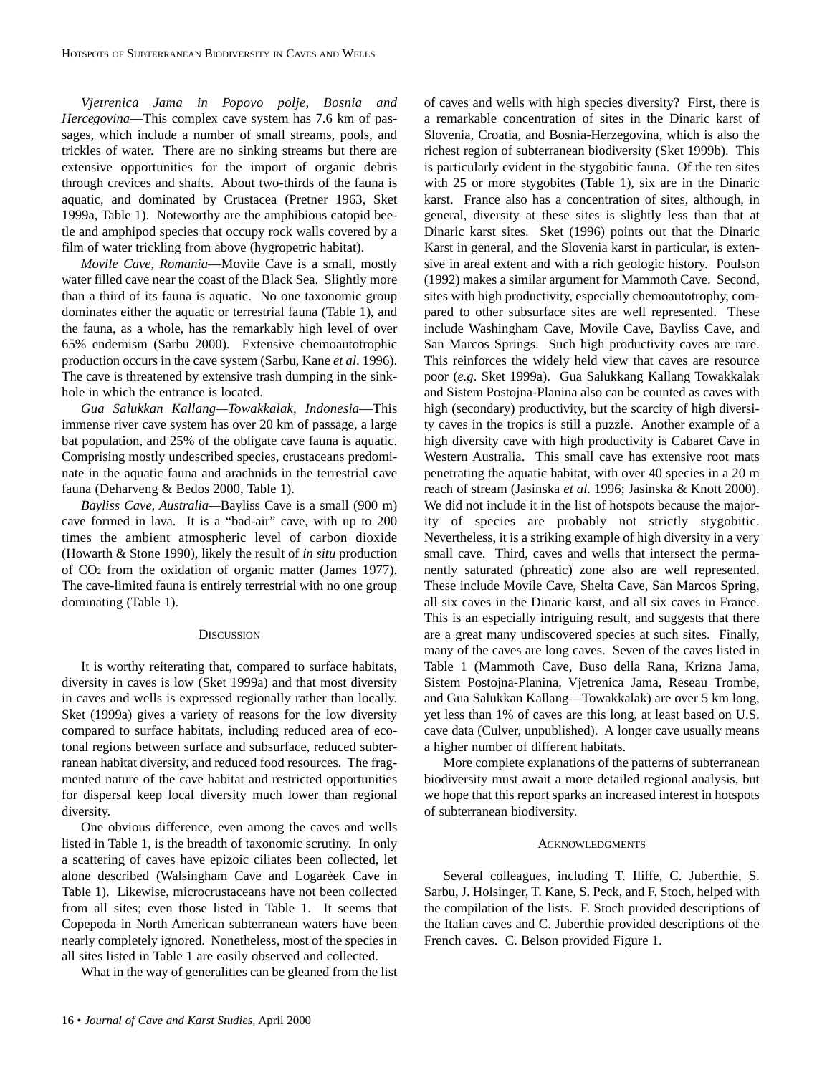*Vjetrenica Jama in Popovo polje, Bosnia and Hercegovina*—This complex cave system has 7.6 km of passages, which include a number of small streams, pools, and trickles of water. There are no sinking streams but there are extensive opportunities for the import of organic debris through crevices and shafts. About two-thirds of the fauna is aquatic, and dominated by Crustacea (Pretner 1963, Sket 1999a, Table 1). Noteworthy are the amphibious catopid beetle and amphipod species that occupy rock walls covered by a film of water trickling from above (hygropetric habitat).

*Movile Cave, Romania*—Movile Cave is a small, mostly water filled cave near the coast of the Black Sea. Slightly more than a third of its fauna is aquatic. No one taxonomic group dominates either the aquatic or terrestrial fauna (Table 1), and the fauna, as a whole, has the remarkably high level of over 65% endemism (Sarbu 2000). Extensive chemoautotrophic production occurs in the cave system (Sarbu, Kane *et al*. 1996). The cave is threatened by extensive trash dumping in the sinkhole in which the entrance is located.

*Gua Salukkan Kallang—Towakkalak, Indonesia*—This immense river cave system has over 20 km of passage, a large bat population, and 25% of the obligate cave fauna is aquatic. Comprising mostly undescribed species, crustaceans predominate in the aquatic fauna and arachnids in the terrestrial cave fauna (Deharveng & Bedos 2000, Table 1).

*Bayliss Cave, Australia—*Bayliss Cave is a small (900 m) cave formed in lava. It is a "bad-air" cave, with up to 200 times the ambient atmospheric level of carbon dioxide (Howarth & Stone 1990), likely the result of *in situ* production of CO2 from the oxidation of organic matter (James 1977). The cave-limited fauna is entirely terrestrial with no one group dominating (Table 1).

# **DISCUSSION**

It is worthy reiterating that, compared to surface habitats, diversity in caves is low (Sket 1999a) and that most diversity in caves and wells is expressed regionally rather than locally. Sket (1999a) gives a variety of reasons for the low diversity compared to surface habitats, including reduced area of ecotonal regions between surface and subsurface, reduced subterranean habitat diversity, and reduced food resources. The fragmented nature of the cave habitat and restricted opportunities for dispersal keep local diversity much lower than regional diversity.

One obvious difference, even among the caves and wells listed in Table 1, is the breadth of taxonomic scrutiny. In only a scattering of caves have epizoic ciliates been collected, let alone described (Walsingham Cave and Logarèek Cave in Table 1). Likewise, microcrustaceans have not been collected from all sites; even those listed in Table 1. It seems that Copepoda in North American subterranean waters have been nearly completely ignored. Nonetheless, most of the species in all sites listed in Table 1 are easily observed and collected.

What in the way of generalities can be gleaned from the list

of caves and wells with high species diversity? First, there is a remarkable concentration of sites in the Dinaric karst of Slovenia, Croatia, and Bosnia-Herzegovina, which is also the richest region of subterranean biodiversity (Sket 1999b). This is particularly evident in the stygobitic fauna. Of the ten sites with 25 or more stygobites (Table 1), six are in the Dinaric karst. France also has a concentration of sites, although, in general, diversity at these sites is slightly less than that at Dinaric karst sites. Sket (1996) points out that the Dinaric Karst in general, and the Slovenia karst in particular, is extensive in areal extent and with a rich geologic history. Poulson (1992) makes a similar argument for Mammoth Cave. Second, sites with high productivity, especially chemoautotrophy, compared to other subsurface sites are well represented. These include Washingham Cave, Movile Cave, Bayliss Cave, and San Marcos Springs. Such high productivity caves are rare. This reinforces the widely held view that caves are resource poor (*e.g*. Sket 1999a). Gua Salukkang Kallang Towakkalak and Sistem Postojna-Planina also can be counted as caves with high (secondary) productivity, but the scarcity of high diversity caves in the tropics is still a puzzle. Another example of a high diversity cave with high productivity is Cabaret Cave in Western Australia. This small cave has extensive root mats penetrating the aquatic habitat, with over 40 species in a 20 m reach of stream (Jasinska *et al.* 1996; Jasinska & Knott 2000). We did not include it in the list of hotspots because the majority of species are probably not strictly stygobitic. Nevertheless, it is a striking example of high diversity in a very small cave. Third, caves and wells that intersect the permanently saturated (phreatic) zone also are well represented. These include Movile Cave, Shelta Cave, San Marcos Spring, all six caves in the Dinaric karst, and all six caves in France. This is an especially intriguing result, and suggests that there are a great many undiscovered species at such sites. Finally, many of the caves are long caves. Seven of the caves listed in Table 1 (Mammoth Cave, Buso della Rana, Krizna Jama, Sistem Postojna-Planina, Vjetrenica Jama, Reseau Trombe, and Gua Salukkan Kallang—Towakkalak) are over 5 km long, yet less than 1% of caves are this long, at least based on U.S. cave data (Culver, unpublished). A longer cave usually means a higher number of different habitats.

More complete explanations of the patterns of subterranean biodiversity must await a more detailed regional analysis, but we hope that this report sparks an increased interest in hotspots of subterranean biodiversity.

#### ACKNOWLEDGMENTS

Several colleagues, including T. Iliffe, C. Juberthie, S. Sarbu, J. Holsinger, T. Kane, S. Peck, and F. Stoch, helped with the compilation of the lists. F. Stoch provided descriptions of the Italian caves and C. Juberthie provided descriptions of the French caves. C. Belson provided Figure 1.